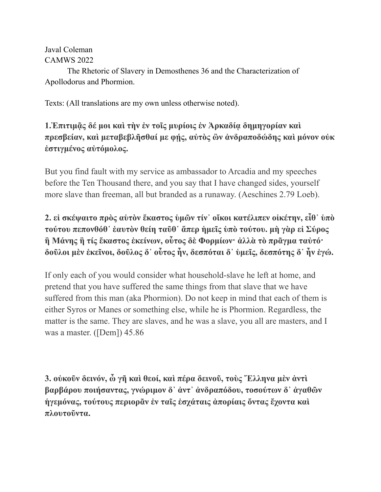#### Javal Coleman CAMWS 2022

The Rhetoric of Slavery in Demosthenes 36 and the Characterization of Apollodorus and Phormion.

Texts: (All translations are my own unless otherwise noted).

#### **1.Ἐπιτιμᾷς δέ μοι καὶ τὴν ἐν τοῖς μυρίοις ἐν Ἀρκαδίᾳ δημηγορίαν καὶ πρεσβείαν, καὶ μεταβεβλῆσθαί με φῄς, αὐτὸς ὢν ἀνδραποδώδης καὶ μόνον οὐκ ἐστιγμένος αὐτόμολος.**

But you find fault with my service as ambassador to Arcadia and my speeches before the Ten Thousand there, and you say that I have changed sides, yourself more slave than freeman, all but branded as a runaway. (Aeschines 2.79 Loeb).

### **2. εἰ σκέψαιτο πρὸς αὑτὸν ἕκαστος ὑμῶν τίν᾿ οἴκοι κατέλιπεν οἰκέτην, εἶθ᾿ ὑπὸ τούτου πεπονθόθ᾿ ἑαυτὸν θείη ταῦθ᾿ ἅπερ ἡμεῖς ὑπὸ τούτου. μὴ γὰρ εἰ Σύρος ἢ Μάνης ἢ τίς ἕκαστος ἐκείνων, οὗτος δὲ Φορμίων· ἀλλὰ τὸ πρᾶγμα ταὐτό· δοῦλοι μὲν ἐκεῖνοι, δοῦλος δ᾿ οὗτος ἦν, δεσπόται δ᾿ ὑμεῖς, δεσπότης δ᾿ ἦν ἐγώ.**

If only each of you would consider what household-slave he left at home, and pretend that you have suffered the same things from that slave that we have suffered from this man (aka Phormion). Do not keep in mind that each of them is either Syros or Manes or something else, while he is Phormion. Regardless, the matter is the same. They are slaves, and he was a slave, you all are masters, and I was a master. ([Dem]) 45.86

**3. οὐκοῦν δεινόν, ὦ γῆ καὶ θεοί, καὶ πέρα δεινοῦ, τοὺς Ἕλληνα μὲν ἀντὶ βαρβάρου ποιήσαντας, γνώριμον δ᾿ ἀντ᾿ ἀνδραπόδου, τοσούτων δ᾿ ἀγαθῶν ἡγεμόνας, τούτους περιορᾶν ἐν ταῖς ἐσχάταις ἀπορίαις ὄντας ἔχοντα καὶ πλουτοῦντα.**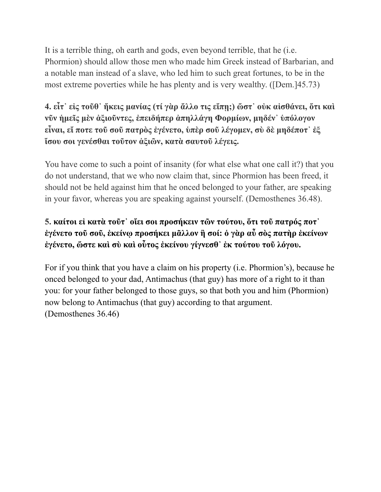It is a terrible thing, oh earth and gods, even beyond terrible, that he (i.e. Phormion) should allow those men who made him Greek instead of Barbarian, and a notable man instead of a slave, who led him to such great fortunes, to be in the most extreme poverties while he has plenty and is very wealthy. ([Dem.]45.73)

# **4. εἶτ᾿ εἰς τοῦθ᾿ ἥκεις μανίας (τί γὰρ ἄλλο τις εἴπῃ;) ὥστ᾿ οὐκ αἰσθάνει, ὅτι καὶ νῦν ἡμεῖς μὲν ἀξιοῦντες, ἐπειδήπερ ἀπηλλάγη Φορμίων, μηδέν᾿ ὑπόλογον εἶναι, εἴ ποτε τοῦ σοῦ πατρὸς ἐγένετο, ὑπὲρ σοῦ λέγομεν, σὺ δὲ μηδέποτ᾿ ἐξ ἴσου σοι γενέσθαι τοῦτον ἀξιῶν, κατὰ σαυτοῦ λέγεις.**

You have come to such a point of insanity (for what else what one call it?) that you do not understand, that we who now claim that, since Phormion has been freed, it should not be held against him that he onced belonged to your father, are speaking in your favor, whereas you are speaking against yourself. (Demosthenes 36.48).

# **5. [καίτοι](http://www.perseus.tufts.edu/hopper/morph?l=kai%2Ftoi&la=greek&can=kai%2Ftoi0&prior=o(ra=%7C) [εἰ](http://www.perseus.tufts.edu/hopper/morph?l=ei%29&la=greek&can=ei%290&prior=kai/toi) κατὰ [τοῦτ᾽](http://www.perseus.tufts.edu/hopper/morph?l=tou%3Dt%27&la=greek&can=tou%3Dt%270&prior=kata%5C) [οἴει](http://www.perseus.tufts.edu/hopper/morph?l=oi%29%2Fei&la=greek&can=oi%29%2Fei0&prior=tou=t%27) [σοι](http://www.perseus.tufts.edu/hopper/morph?l=soi&la=greek&can=soi0&prior=oi)/ei) [προσήκειν](http://www.perseus.tufts.edu/hopper/morph?l=prosh%2Fkein&la=greek&can=prosh%2Fkein0&prior=soi) [τῶν](http://www.perseus.tufts.edu/hopper/morph?l=tw%3Dn&la=greek&can=tw%3Dn0&prior=prosh/kein) [τούτου,](http://www.perseus.tufts.edu/hopper/morph?l=tou%2Ftou&la=greek&can=tou%2Ftou0&prior=tw=n) [ὅτι](http://www.perseus.tufts.edu/hopper/morph?l=o%28%2Fti&la=greek&can=o%28%2Fti0&prior=tou/tou) [τοῦ](http://www.perseus.tufts.edu/hopper/morph?l=tou%3D&la=greek&can=tou%3D0&prior=o(/ti) [πατρός](http://www.perseus.tufts.edu/hopper/morph?l=patro%2Fs&la=greek&can=patro%2Fs0&prior=tou=) [ποτ᾽](http://www.perseus.tufts.edu/hopper/morph?l=pot%27&la=greek&can=pot%270&prior=patro/s) [ἐγένετο](http://www.perseus.tufts.edu/hopper/morph?l=e%29ge%2Fneto&la=greek&can=e%29ge%2Fneto0&prior=pot%27) [τοῦ](http://www.perseus.tufts.edu/hopper/morph?l=tou%3D&la=greek&can=tou%3D1&prior=e)ge/neto) [σοῦ,](http://www.perseus.tufts.edu/hopper/morph?l=sou%3D&la=greek&can=sou%3D0&prior=tou=) [ἐκείνῳ](http://www.perseus.tufts.edu/hopper/morph?l=e%29kei%2Fnw%7C&la=greek&can=e%29kei%2Fnw%7C0&prior=sou=) [προσήκει](http://www.perseus.tufts.edu/hopper/morph?l=prosh%2Fkei&la=greek&can=prosh%2Fkei0&prior=e)kei/nw%7C) [μᾶλλον](http://www.perseus.tufts.edu/hopper/morph?l=ma%3Dllon&la=greek&can=ma%3Dllon0&prior=prosh/kei) [ἢ](http://www.perseus.tufts.edu/hopper/morph?l=h%29%5C&la=greek&can=h%29%5C0&prior=ma=llon) [σοί:](http://www.perseus.tufts.edu/hopper/morph?l=soi%2F&la=greek&can=soi%2F0&prior=h)%5C) [ὁ](http://www.perseus.tufts.edu/hopper/morph?l=o%28&la=greek&can=o%280&prior=soi/) [γὰρ](http://www.perseus.tufts.edu/hopper/morph?l=ga%5Cr&la=greek&can=ga%5Cr0&prior=o() [αὖ](http://www.perseus.tufts.edu/hopper/morph?l=au%29%3D&la=greek&can=au%29%3D0&prior=ga%5Cr) [σὸς](http://www.perseus.tufts.edu/hopper/morph?l=so%5Cs&la=greek&can=so%5Cs0&prior=au)=) [πατὴρ](http://www.perseus.tufts.edu/hopper/morph?l=path%5Cr&la=greek&can=path%5Cr0&prior=so%5Cs) [ἐκείνων](http://www.perseus.tufts.edu/hopper/morph?l=e%29kei%2Fnwn&la=greek&can=e%29kei%2Fnwn0&prior=path%5Cr) [ἐγένετο](http://www.perseus.tufts.edu/hopper/morph?l=e%29ge%2Fneto&la=greek&can=e%29ge%2Fneto1&prior=e)kei/nwn), [ὥστε](http://www.perseus.tufts.edu/hopper/morph?l=w%28%2Fste&la=greek&can=w%28%2Fste0&prior=e)ge/neto) [καὶ](http://www.perseus.tufts.edu/hopper/morph?l=kai%5C&la=greek&can=kai%5C0&prior=w(/ste) [σὺ](http://www.perseus.tufts.edu/hopper/morph?l=su%5C&la=greek&can=su%5C0&prior=kai%5C) [καὶ](http://www.perseus.tufts.edu/hopper/morph?l=kai%5C&la=greek&can=kai%5C1&prior=su%5C) [οὗτος](http://www.perseus.tufts.edu/hopper/morph?l=ou%28%3Dtos&la=greek&can=ou%28%3Dtos0&prior=kai%5C) [ἐκείνου](http://www.perseus.tufts.edu/hopper/morph?l=e%29kei%2Fnou&la=greek&can=e%29kei%2Fnou0&prior=ou(=tos) [γίγνεσθ᾽](http://www.perseus.tufts.edu/hopper/morph?l=gi%2Fgnesq%27&la=greek&can=gi%2Fgnesq%270&prior=e)kei/nou) [ἐκ](http://www.perseus.tufts.edu/hopper/morph?l=e%29k&la=greek&can=e%29k0&prior=gi/gnesq%27) [τούτου](http://www.perseus.tufts.edu/hopper/morph?l=tou%2Ftou&la=greek&can=tou%2Ftou1&prior=e)k) [τοῦ](http://www.perseus.tufts.edu/hopper/morph?l=tou%3D&la=greek&can=tou%3D2&prior=tou/tou) [λόγου](http://www.perseus.tufts.edu/hopper/morph?l=lo%2Fgou&la=greek&can=lo%2Fgou0&prior=tou=).**

For if you think that you have a claim on his property (i.e. Phormion's), because he onced belonged to your dad, Antimachus (that guy) has more of a right to it than you: for your father belonged to those guys, so that both you and him (Phormion) now belong to Antimachus (that guy) according to that argument. (Demosthenes 36.46)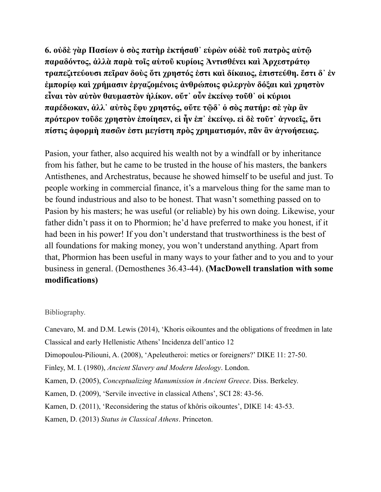**6. οὐδὲ [γὰρ](http://www.perseus.tufts.edu/hopper/morph?l=ga%5Cr&la=greek&can=ga%5Cr0&prior=ou)de%5C) [Πασίων](http://www.perseus.tufts.edu/hopper/morph?l=*pasi%2Fwn&la=greek&can=*pasi%2Fwn0&prior=ga%5Cr) [ὁ](http://www.perseus.tufts.edu/hopper/morph?l=o%28&la=greek&can=o%280&prior=*pasi/wn) [σὸς](http://www.perseus.tufts.edu/hopper/morph?l=so%5Cs&la=greek&can=so%5Cs0&prior=o() [πατὴρ](http://www.perseus.tufts.edu/hopper/morph?l=path%5Cr&la=greek&can=path%5Cr0&prior=so%5Cs) [ἐκτήσαθ᾽](http://www.perseus.tufts.edu/hopper/morph?l=e%29kth%2Fsaq%27&la=greek&can=e%29kth%2Fsaq%270&prior=path%5Cr) [εὑρὼν](http://www.perseus.tufts.edu/hopper/morph?l=eu%28rw%5Cn&la=greek&can=eu%28rw%5Cn0&prior=e)kth/saq%27) [οὐδὲ](http://www.perseus.tufts.edu/hopper/morph?l=ou%29de%5C&la=greek&can=ou%29de%5C1&prior=eu(rw%5Cn) [τοῦ](http://www.perseus.tufts.edu/hopper/morph?l=tou%3D&la=greek&can=tou%3D2&prior=ou)de%5C) [πατρὸς](http://www.perseus.tufts.edu/hopper/morph?l=patro%5Cs&la=greek&can=patro%5Cs1&prior=tou=) [αὐτῷ](http://www.perseus.tufts.edu/hopper/morph?l=au%29tw%3D%7C&la=greek&can=au%29tw%3D%7C0&prior=patro%5Cs) [παραδόντος,](http://www.perseus.tufts.edu/hopper/morph?l=parado%2Fntos&la=greek&can=parado%2Fntos0&prior=au)tw=%7C) [ἀλλὰ](http://www.perseus.tufts.edu/hopper/morph?l=a%29lla%5C&la=greek&can=a%29lla%5C1&prior=parado/ntos) [παρὰ](http://www.perseus.tufts.edu/hopper/morph?l=para%5C&la=greek&can=para%5C0&prior=a)lla%5C) [τοῖς](http://www.perseus.tufts.edu/hopper/morph?l=toi%3Ds&la=greek&can=toi%3Ds0&prior=para%5C) [αὑτοῦ](http://www.perseus.tufts.edu/hopper/morph?l=au%28tou%3D&la=greek&can=au%28tou%3D0&prior=toi=s) [κυρίοις](http://www.perseus.tufts.edu/hopper/morph?l=kuri%2Fois&la=greek&can=kuri%2Fois0&prior=au(tou=) [Ἀντισθένει](http://www.perseus.tufts.edu/hopper/morph?l=*%29antisqe%2Fnei&la=greek&can=*%29antisqe%2Fnei0&prior=kuri/ois) [καὶ](http://www.perseus.tufts.edu/hopper/morph?l=kai%5C&la=greek&can=kai%5C1&prior=*)antisqe/nei) [Ἀρχεστράτῳ](http://www.perseus.tufts.edu/hopper/morph?l=*%29arxestra%2Ftw%7C&la=greek&can=*%29arxestra%2Ftw%7C0&prior=kai%5C) [τραπεζιτεύουσι](http://www.perseus.tufts.edu/hopper/morph?l=trapeziteu%2Fousi&la=greek&can=trapeziteu%2Fousi0&prior=*)arxestra/tw%7C) [πεῖραν](http://www.perseus.tufts.edu/hopper/morph?l=pei%3Dran&la=greek&can=pei%3Dran0&prior=trapeziteu/ousi) [δοὺς](http://www.perseus.tufts.edu/hopper/morph?l=dou%5Cs&la=greek&can=dou%5Cs0&prior=pei=ran) [ὅτι](http://www.perseus.tufts.edu/hopper/morph?l=o%28%2Fti&la=greek&can=o%28%2Fti0&prior=dou%5Cs) [χρηστός](http://www.perseus.tufts.edu/hopper/morph?l=xrhsto%2Fs&la=greek&can=xrhsto%2Fs0&prior=o(/ti) [ἐστι](http://www.perseus.tufts.edu/hopper/morph?l=e%29sti&la=greek&can=e%29sti0&prior=xrhsto/s) [καὶ](http://www.perseus.tufts.edu/hopper/morph?l=kai%5C&la=greek&can=kai%5C2&prior=e)sti) [δίκαιος](http://www.perseus.tufts.edu/hopper/morph?l=di%2Fkaios&la=greek&can=di%2Fkaios0&prior=kai%5C), [ἐπιστεύθη.](http://www.perseus.tufts.edu/hopper/morph?l=e%29pisteu%2Fqh&la=greek&can=e%29pisteu%2Fqh0&prior=di/kaios) [ἔστι](http://www.perseus.tufts.edu/hopper/morph?l=e%29%2Fsti&la=greek&can=e%29%2Fsti0&prior=]) [δ᾽](http://www.perseus.tufts.edu/hopper/morph?l=d%27&la=greek&can=d%270&prior=e)/sti) [ἐν](http://www.perseus.tufts.edu/hopper/morph?l=e%29n&la=greek&can=e%29n0&prior=d%27) [ἐμπορίῳ](http://www.perseus.tufts.edu/hopper/morph?l=e%29mpori%2Fw%7C&la=greek&can=e%29mpori%2Fw%7C0&prior=e)n) [καὶ](http://www.perseus.tufts.edu/hopper/morph?l=kai%5C&la=greek&can=kai%5C0&prior=e)mpori/w%7C) [χρήμασιν](http://www.perseus.tufts.edu/hopper/morph?l=xrh%2Fmasin&la=greek&can=xrh%2Fmasin0&prior=kai%5C) [ἐργαζομένοις](http://www.perseus.tufts.edu/hopper/morph?l=e%29rgazome%2Fnois&la=greek&can=e%29rgazome%2Fnois0&prior=xrh/masin) [ἀνθρώποις](http://www.perseus.tufts.edu/hopper/morph?l=a%29nqrw%2Fpois&la=greek&can=a%29nqrw%2Fpois0&prior=e)rgazome/nois) [φιλεργὸν](http://www.perseus.tufts.edu/hopper/morph?l=filergo%5Cn&la=greek&can=filergo%5Cn0&prior=a)nqrw/pois) [δόξαι](http://www.perseus.tufts.edu/hopper/morph?l=do%2Fcai&la=greek&can=do%2Fcai0&prior=filergo%5Cn) [καὶ](http://www.perseus.tufts.edu/hopper/morph?l=kai%5C&la=greek&can=kai%5C1&prior=do/cai) [χρηστὸν](http://www.perseus.tufts.edu/hopper/morph?l=xrhsto%5Cn&la=greek&can=xrhsto%5Cn0&prior=kai%5C) [εἶναι](http://www.perseus.tufts.edu/hopper/morph?l=ei%29%3Dnai&la=greek&can=ei%29%3Dnai0&prior=xrhsto%5Cn) [τὸν](http://www.perseus.tufts.edu/hopper/morph?l=to%5Cn&la=greek&can=to%5Cn0&prior=ei)=nai) [αὐτὸν](http://www.perseus.tufts.edu/hopper/morph?l=au%29to%5Cn&la=greek&can=au%29to%5Cn0&prior=to%5Cn) [θαυμαστὸν](http://www.perseus.tufts.edu/hopper/morph?l=qaumasto%5Cn&la=greek&can=qaumasto%5Cn0&prior=au)to%5Cn) ἡλίκον. [οὔτ᾽](http://www.perseus.tufts.edu/hopper/morph?l=ou%29%2Ft%27&la=greek&can=ou%29%2Ft%270&prior=h(li/kon) [οὖν](http://www.perseus.tufts.edu/hopper/morph?l=ou%29%3Dn&la=greek&can=ou%29%3Dn0&prior=ou)/t%27) [ἐκείνῳ](http://www.perseus.tufts.edu/hopper/morph?l=e%29kei%2Fnw%7C&la=greek&can=e%29kei%2Fnw%7C0&prior=ou)=n) [τοῦθ᾽](http://www.perseus.tufts.edu/hopper/morph?l=tou%3Dq%27&la=greek&can=tou%3Dq%270&prior=e)kei/nw%7C) [οἱ](http://www.perseus.tufts.edu/hopper/morph?l=oi%28&la=greek&can=oi%280&prior=tou=q%27) [κύριοι](http://www.perseus.tufts.edu/hopper/morph?l=ku%2Frioi&la=greek&can=ku%2Frioi0&prior=oi() [παρέδωκαν,](http://www.perseus.tufts.edu/hopper/morph?l=pare%2Fdwkan&la=greek&can=pare%2Fdwkan0&prior=ku/rioi) [ἀλλ᾽](http://www.perseus.tufts.edu/hopper/morph?l=a%29ll%27&la=greek&can=a%29ll%270&prior=pare/dwkan) [αὐτὸς](http://www.perseus.tufts.edu/hopper/morph?l=au%29to%5Cs&la=greek&can=au%29to%5Cs0&prior=a)ll%27) [ἔφυ](http://www.perseus.tufts.edu/hopper/morph?l=e%29%2Ffu&la=greek&can=e%29%2Ffu0&prior=au)to%5Cs) [χρηστός,](http://www.perseus.tufts.edu/hopper/morph?l=xrhsto%2Fs&la=greek&can=xrhsto%2Fs0&prior=e)/fu) [οὔτε](http://www.perseus.tufts.edu/hopper/morph?l=ou%29%2Fte&la=greek&can=ou%29%2Fte0&prior=xrhsto/s) [τῷδ᾽](http://www.perseus.tufts.edu/hopper/morph?l=tw%3D%7Cd%27&la=greek&can=tw%3D%7Cd%270&prior=ou)/te) [ὁ](http://www.perseus.tufts.edu/hopper/morph?l=o%28&la=greek&can=o%280&prior=tw=%7Cd%27) [σὸς](http://www.perseus.tufts.edu/hopper/morph?l=so%5Cs&la=greek&can=so%5Cs0&prior=o() [πατήρ:](http://www.perseus.tufts.edu/hopper/morph?l=path%2Fr&la=greek&can=path%2Fr0&prior=so%5Cs) [σὲ](http://www.perseus.tufts.edu/hopper/morph?l=se%5C&la=greek&can=se%5C0&prior=path/r) [γὰρ](http://www.perseus.tufts.edu/hopper/morph?l=ga%5Cr&la=greek&can=ga%5Cr0&prior=se%5C) [ἂν](http://www.perseus.tufts.edu/hopper/morph?l=a%29%5Cn&la=greek&can=a%29%5Cn0&prior=ga%5Cr) [πρότερον](http://www.perseus.tufts.edu/hopper/morph?l=pro%2Fteron&la=greek&can=pro%2Fteron0&prior=a)%5Cn) [τοῦδε](http://www.perseus.tufts.edu/hopper/morph?l=tou%3Dde&la=greek&can=tou%3Dde0&prior=pro/teron) [χρηστὸν](http://www.perseus.tufts.edu/hopper/morph?l=xrhsto%5Cn&la=greek&can=xrhsto%5Cn1&prior=tou=de) [ἐποίησεν,](http://www.perseus.tufts.edu/hopper/morph?l=e%29poi%2Fhsen&la=greek&can=e%29poi%2Fhsen0&prior=xrhsto%5Cn) [εἰ](http://www.perseus.tufts.edu/hopper/morph?l=ei%29&la=greek&can=ei%290&prior=e)poi/hsen) [ἦν](http://www.perseus.tufts.edu/hopper/morph?l=h%29%3Dn&la=greek&can=h%29%3Dn0&prior=ei)) [ἐπ᾽](http://www.perseus.tufts.edu/hopper/morph?l=e%29p%27&la=greek&can=e%29p%270&prior=h)=n) [ἐκείνῳ.](http://www.perseus.tufts.edu/hopper/morph?l=e%29kei%2Fnw%7C&la=greek&can=e%29kei%2Fnw%7C1&prior=e)p%27) [εἰ](http://www.perseus.tufts.edu/hopper/morph?l=ei%29&la=greek&can=ei%291&prior=e)kei/nw%7C) [δὲ](http://www.perseus.tufts.edu/hopper/morph?l=de%5C&la=greek&can=de%5C0&prior=ei)) [τοῦτ᾽](http://www.perseus.tufts.edu/hopper/morph?l=tou%3Dt%27&la=greek&can=tou%3Dt%270&prior=de%5C) [ἀγνοεῖς](http://www.perseus.tufts.edu/hopper/morph?l=a%29gnoei%3Ds&la=greek&can=a%29gnoei%3Ds0&prior=tou=t%27), [ὅτι](http://www.perseus.tufts.edu/hopper/morph?l=o%28%2Fti&la=greek&can=o%28%2Fti0&prior=a)gnoei=s) [πίστις](http://www.perseus.tufts.edu/hopper/morph?l=pi%2Fstis&la=greek&can=pi%2Fstis0&prior=o(/ti) [ἀφορμὴ](http://www.perseus.tufts.edu/hopper/morph?l=a%29formh%5C&la=greek&can=a%29formh%5C0&prior=pi/stis) [πασῶν](http://www.perseus.tufts.edu/hopper/morph?l=pasw%3Dn&la=greek&can=pasw%3Dn0&prior=a)formh%5C) [ἐστι](http://www.perseus.tufts.edu/hopper/morph?l=e%29sti&la=greek&can=e%29sti0&prior=pasw=n) [μεγίστη](http://www.perseus.tufts.edu/hopper/morph?l=megi%2Fsth&la=greek&can=megi%2Fsth0&prior=e)sti) [πρὸς](http://www.perseus.tufts.edu/hopper/morph?l=pro%5Cs&la=greek&can=pro%5Cs0&prior=megi/sth) [χρηματισμόν](http://www.perseus.tufts.edu/hopper/morph?l=xrhmatismo%2Fn&la=greek&can=xrhmatismo%2Fn0&prior=pro%5Cs), [πᾶν](http://www.perseus.tufts.edu/hopper/morph?l=pa%3Dn&la=greek&can=pa%3Dn0&prior=xrhmatismo/n) [ἂν](http://www.perseus.tufts.edu/hopper/morph?l=a%29%5Cn&la=greek&can=a%29%5Cn1&prior=pa=n) [ἀγνοήσειας](http://www.perseus.tufts.edu/hopper/morph?l=a%29gnoh%2Fseias&la=greek&can=a%29gnoh%2Fseias0&prior=a)%5Cn).**

Pasion, your father, also acquired his wealth not by a windfall or by inheritance from his father, but he came to be trusted in the house of his masters, the bankers Antisthenes, and Archestratus, because he showed himself to be useful and just. To people working in commercial finance, it's a marvelous thing for the same man to be found industrious and also to be honest. That wasn't something passed on to Pasion by his masters; he was useful (or reliable) by his own doing. Likewise, your father didn't pass it on to Phormion; he'd have preferred to make you honest, if it had been in his power! If you don't understand that trustworthiness is the best of all foundations for making money, you won't understand anything. Apart from that, Phormion has been useful in many ways to your father and to you and to your business in general. (Demosthenes 36.43-44). **(MacDowell translation with some modifications)**

#### Bibliography.

Canevaro, M. and D.M. Lewis (2014), 'Khoris oikountes and the obligations of freedmen in late Classical and early Hellenistic Athens' Incidenza dell'antico 12 Dimopoulou-Piliouni, A. (2008), 'Apeleutheroi: metics or foreigners?' DIKE 11: 27-50. Finley, M. I. (1980), *Ancient Slavery and Modern Ideology*. London. Kamen, D. (2005), *Conceptualizing Manumission in Ancient Greece*. Diss. Berkeley. Kamen, D. (2009), 'Servile invective in classical Athens', SCI 28: 43-56. Kamen, D. (2011), 'Reconsidering the status of khôris oikountes', DIKE 14: 43-53. Kamen, D. (2013) *Status in Classical Athens*. Princeton.